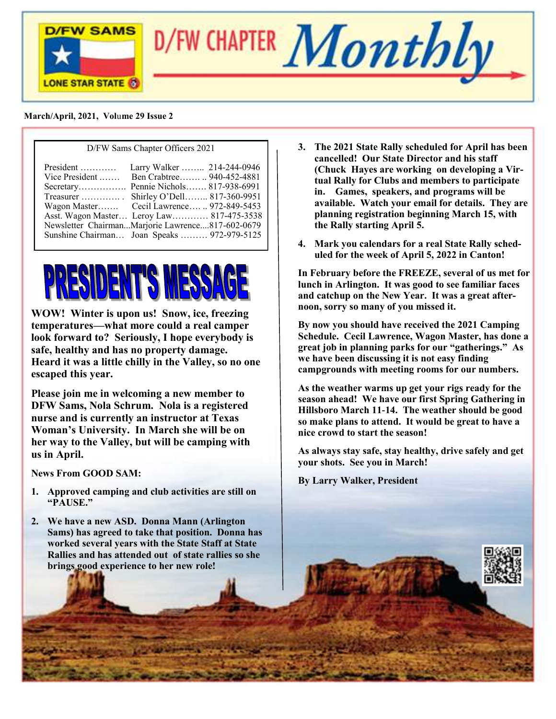



#### **March/April, 2021, Vol**u**me 29 Issue 2**

| D/FW Sams Chapter Officers 2021 |                                                                                                                                                                                                                                                                                                                                         |  |
|---------------------------------|-----------------------------------------------------------------------------------------------------------------------------------------------------------------------------------------------------------------------------------------------------------------------------------------------------------------------------------------|--|
| President<br>Vice President     | Larry Walker  214-244-0946<br>Ben Crabtree 940-452-4881<br>Secretary Pennie Nichols 817-938-6991<br>Treasurer  Shirley O'Dell 817-360-9951<br>Wagon Master Cecil Lawrence  972-849-5453<br>Asst. Wagon Master Leroy Law 817-475-3538<br>Newsletter ChairmanMarjorie Lawrence817-602-0679<br>Sunshine Chairman Joan Speaks  972-979-5125 |  |
|                                 |                                                                                                                                                                                                                                                                                                                                         |  |



**WOW! Winter is upon us! Snow, ice, freezing temperatures—what more could a real camper look forward to? Seriously, I hope everybody is safe, healthy and has no property damage. Heard it was a little chilly in the Valley, so no one escaped this year.**

**Please join me in welcoming a new member to DFW Sams, Nola Schrum. Nola is a registered nurse and is currently an instructor at Texas Woman's University. In March she will be on her way to the Valley, but will be camping with us in April.**

**News From GOOD SAM:**

- **1. Approved camping and club activities are still on "PAUSE."**
- **2. We have a new ASD. Donna Mann (Arlington Sams) has agreed to take that position. Donna has worked several years with the State Staff at State Rallies and has attended out of state rallies so she brings good experience to her new role!**
- **3. The 2021 State Rally scheduled for April has been cancelled! Our State Director and his staff (Chuck Hayes are working on developing a Virtual Rally for Clubs and members to participate in. Games, speakers, and programs will be available. Watch your email for details. They are planning registration beginning March 15, with the Rally starting April 5.**
- **4. Mark you calendars for a real State Rally scheduled for the week of April 5, 2022 in Canton!**

**In February before the FREEZE, several of us met for lunch in Arlington. It was good to see familiar faces and catchup on the New Year. It was a great afternoon, sorry so many of you missed it.**

**By now you should have received the 2021 Camping Schedule. Cecil Lawrence, Wagon Master, has done a great job in planning parks for our "gatherings." As we have been discussing it is not easy finding campgrounds with meeting rooms for our numbers.**

**As the weather warms up get your rigs ready for the season ahead! We have our first Spring Gathering in Hillsboro March 11-14. The weather should be good so make plans to attend. It would be great to have a nice crowd to start the season!**

**As always stay safe, stay healthy, drive safely and get your shots. See you in March!**

**By Larry Walker, President**

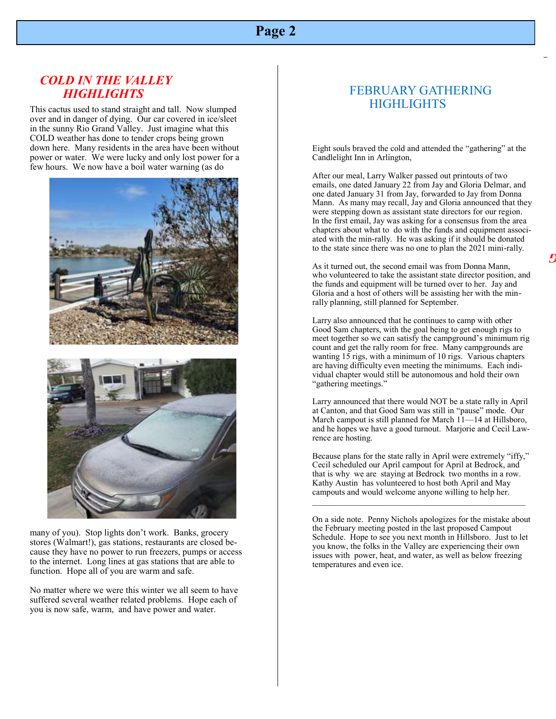### **Page 2**

#### *COLD IN THE VALLEY HIGHLIGHTS*

This cactus used to stand straight and tall. Now slumped over and in danger of dying. Our car covered in ice/sleet in the sunny Rio Grand Valley. Just imagine what this COLD weather has done to tender crops being grown down here. Many residents in the area have been without power or water. We were lucky and only lost power for a few hours. We now have a boil water warning (as do





many of you). Stop lights don't work. Banks, grocery stores (Walmart!), gas stations, restaurants are closed because they have no power to run freezers, pumps or access to the internet. Long lines at gas stations that are able to function. Hope all of you are warm and safe.

No matter where we were this winter we all seem to have suffered several weather related problems. Hope each of you is now safe, warm, and have power and water.

#### FEBRUARY GATHERING **HIGHLIGHTS**

**1** Eight souls braved the cold and attended the "gathering" at the Candlelight Inn in Arlington,

**c**<br> **c**<br> **l**<br> **l**<br> **c**<br> **c**<br> **c**<br> **c**<br> **c**<br> **d**<br> **d** After our meal, Larry Walker passed out printouts of two emails, one dated January 22 from Jay and Gloria Delmar, and one dated January 31 from Jay, forwarded to Jay from Donna Mann. As many may recall, Jay and Gloria announced that they were stepping down as assistant state directors for our region. In the first email, Jay was asking for a consensus from the area chapters about what to do with the funds and equipment associated with the min-rally. He was asking if it should be donated to the state since there was no one to plan the 2021 mini-rally.

As it turned out, the second email was from Donna Mann, who volunteered to take the assistant state director position, and the funds and equipment will be turned over to her. Jay and Gloria and a host of others will be assisting her with the minrally planning, still planned for September.

 Larry also announced that he continues to camp with other Good Sam chapters, with the goal being to get enough rigs to meet together so we can satisfy the campground's minimum rig count and get the rally room for free. Many campgrounds are wanting 15 rigs, with a minimum of 10 rigs. Various chapters are having difficulty even meeting the minimums. Each individual chapter would still be autonomous and hold their own "gathering meetings."

|<br>| <br>|<br>| <br>|<br>|<br>|<br>|<br>|<br>| Larry announced that there would NOT be a state rally in April at Canton, and that Good Sam was still in "pause" mode. Our March campout is still planned for March 11—14 at Hillsboro, and he hopes we have a good turnout. Marjorie and Cecil Lawrence are hosting.

Because plans for the state rally in April were extremely "iffy," Cecil scheduled our April campout for April at Bedrock, and that is why we are staying at Bedrock two months in a row. Kathy Austin has volunteered to host both April and May campouts and would welcome anyone willing to help her. \_\_\_\_\_\_\_\_\_\_\_\_\_\_\_\_\_\_\_\_\_\_\_\_\_\_\_\_\_\_\_\_\_\_\_\_\_\_\_\_\_\_\_\_\_\_\_\_\_\_

On a side note. Penny Nichols apologizes for the mistake about the February meeting posted in the last proposed Campout Schedule. Hope to see you next month in Hillsboro. Just to let you know, the folks in the Valley are experiencing their own issues with power, heat, and water, as well as below freezing temperatures and even ice.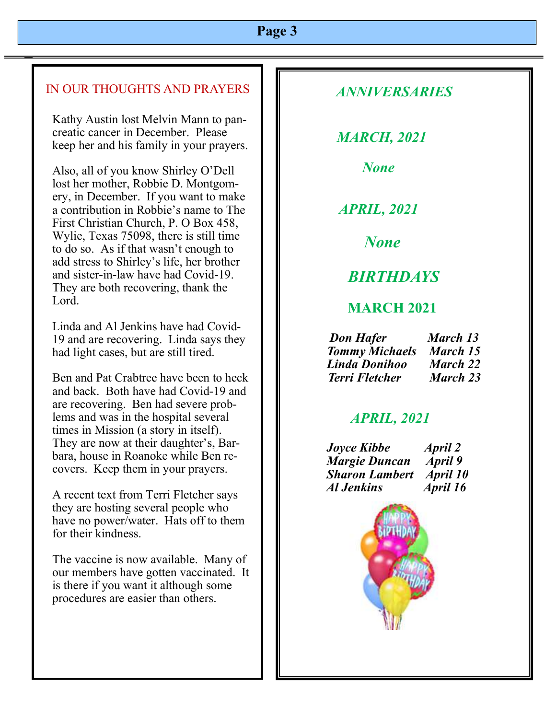### **Page 3**

### IN OUR THOUGHTS AND PRAYERS

Kathy Austin lost Melvin Mann to pancreatic cancer in December. Please keep her and his family in your prayers.

Also, all of you know Shirley O'Dell lost her mother, Robbie D. Montgomery, in December. If you want to make a contribution in Robbie's name to The First Christian Church, P. O Box 458, Wylie, Texas 75098, there is still time to do so. As if that wasn't enough to add stress to Shirley's life, her brother and sister-in-law have had Covid-19. They are both recovering, thank the Lord.

Linda and Al Jenkins have had Covid-19 and are recovering. Linda says they had light cases, but are still tired.

Ben and Pat Crabtree have been to heck and back. Both have had Covid-19 and are recovering. Ben had severe problems and was in the hospital several times in Mission (a story in itself). They are now at their daughter's, Barbara, house in Roanoke while Ben recovers. Keep them in your prayers.

A recent text from Terri Fletcher says they are hosting several people who have no power/water. Hats off to them for their kindness.

The vaccine is now available. Many of our members have gotten vaccinated. It is there if you want it although some procedures are easier than others.

### *ANNIVERSARIES*

 *MARCH, 2021*

 *None*

 *APRIL, 2021*

 *None*

## *BIRTHDAYS*

### **MARCH 2021**

 *Don Hafer March 13 Tommy Michaels March 15 Linda Donihoo March 22 Terri Fletcher March 23* 

## *APRIL, 2021*

 *Joyce Kibbe April 2 Margie Duncan April 9 Sharon Lambert April 10 Al Jenkins April 16*